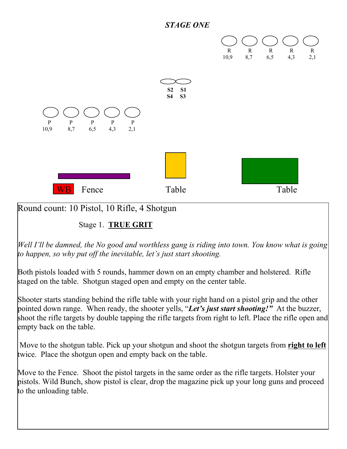



Round count: 10 Pistol, 10 Rifle, 4 Shotgun

Stage 1. **TRUE GRIT**

*Well I'll be damned, the No good and worthless gang is riding into town. You know what is going to happen, so why put off the inevitable, let's just start shooting.* 

Both pistols loaded with 5 rounds, hammer down on an empty chamber and holstered. Rifle staged on the table. Shotgun staged open and empty on the center table.

Shooter starts standing behind the rifle table with your right hand on a pistol grip and the other pointed down range. When ready, the shooter yells, "*Let's just start shooting!"* At the buzzer, shoot the rifle targets by double tapping the rifle targets from right to left. Place the rifle open and empty back on the table.

 Move to the shotgun table. Pick up your shotgun and shoot the shotgun targets from **right to left** twice. Place the shotgun open and empty back on the table.

Move to the Fence. Shoot the pistol targets in the same order as the rifle targets. Holster your pistols. Wild Bunch, show pistol is clear, drop the magazine pick up your long guns and proceed to the unloading table.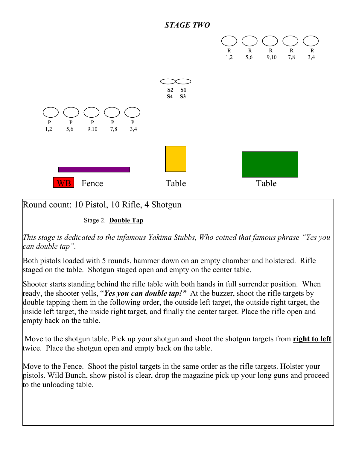



## Round count: 10 Pistol, 10 Rifle, 4 Shotgun

Stage 2. **Double Tap**

*This stage is dedicated to the infamous Yakima Stubbs, Who coined that famous phrase "Yes you can double tap".*

Both pistols loaded with 5 rounds, hammer down on an empty chamber and holstered. Rifle staged on the table. Shotgun staged open and empty on the center table.

Shooter starts standing behind the rifle table with both hands in full surrender position. When ready, the shooter yells, "*Yes you can double tap!"* At the buzzer, shoot the rifle targets by double tapping them in the following order, the outside left target, the outside right target, the inside left target, the inside right target, and finally the center target. Place the rifle open and empty back on the table.

 Move to the shotgun table. Pick up your shotgun and shoot the shotgun targets from **right to left** twice. Place the shotgun open and empty back on the table.

Move to the Fence. Shoot the pistol targets in the same order as the rifle targets. Holster your pistols. Wild Bunch, show pistol is clear, drop the magazine pick up your long guns and proceed to the unloading table.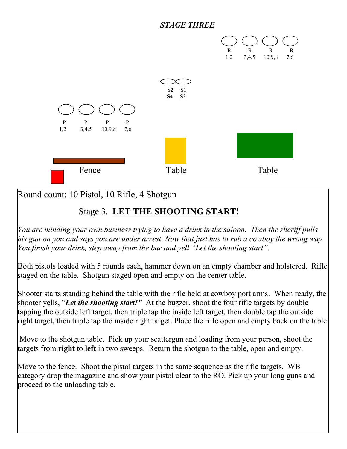## *STAGE THREE*



Round count: 10 Pistol, 10 Rifle, 4 Shotgun

## Stage 3. **LET THE SHOOTING START!**

*You are minding your own business trying to have a drink in the saloon. Then the sheriff pulls his gun on you and says you are under arrest. Now that just has to rub a cowboy the wrong way. You finish your drink, step away from the bar and yell "Let the shooting start".* 

Both pistols loaded with 5 rounds each, hammer down on an empty chamber and holstered. Rifle staged on the table. Shotgun staged open and empty on the center table.

Shooter starts standing behind the table with the rifle held at cowboy port arms. When ready, the shooter yells, "*Let the shooting start!"* At the buzzer, shoot the four rifle targets by double tapping the outside left target, then triple tap the inside left target, then double tap the outside right target, then triple tap the inside right target. Place the rifle open and empty back on the table

 Move to the shotgun table. Pick up your scattergun and loading from your person, shoot the targets from **right** to **left** in two sweeps. Return the shotgun to the table, open and empty.

Move to the fence. Shoot the pistol targets in the same sequence as the rifle targets. WB category drop the magazine and show your pistol clear to the RO. Pick up your long guns and proceed to the unloading table.